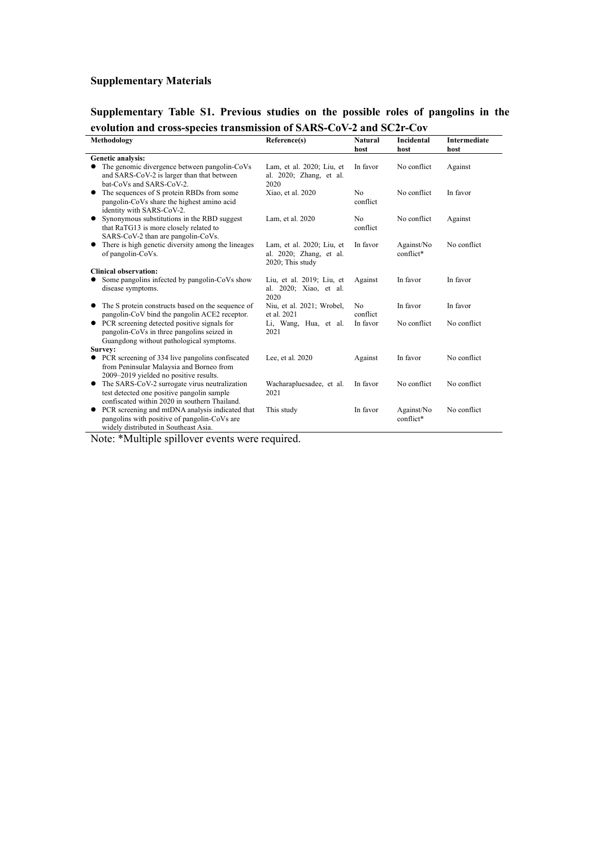## **Supplementary Materials**

**Supplementary Table S1. Previous studies on the possible roles of pangolins in the evolution and cross-species transmission of SARS-CoV-2 and SC2r-Cov**

| Methodology                                                                                                                                       | Reference(s)                                                             | Natural                    | Incidental              | Intermediate |
|---------------------------------------------------------------------------------------------------------------------------------------------------|--------------------------------------------------------------------------|----------------------------|-------------------------|--------------|
|                                                                                                                                                   |                                                                          | host                       | host                    | host         |
| Genetic analysis:                                                                                                                                 |                                                                          |                            |                         |              |
| The genomic divergence between pangolin-CoVs<br>and SARS-CoV-2 is larger than that between<br>bat-CoVs and SARS-CoV-2.                            | Lam, et al. 2020; Liu, et<br>al. 2020; Zhang, et al.<br>2020             | In favor                   | No conflict             | Against      |
| The sequences of S protein RBDs from some<br>٠<br>pangolin-CoVs share the highest amino acid<br>identity with SARS-CoV-2.                         | Xiao, et al. 2020                                                        | No<br>conflict             | No conflict             | In favor     |
| Synonymous substitutions in the RBD suggest<br>٠<br>that RaTG13 is more closely related to<br>SARS-CoV-2 than are pangolin-CoVs.                  | Lam, et al. 2020                                                         | N <sub>o</sub><br>conflict | No conflict             | Against      |
| There is high genetic diversity among the lineages<br>of pangolin-CoVs.                                                                           | Lam, et al. 2020; Liu, et<br>al. 2020; Zhang, et al.<br>2020; This study | In favor                   | Against/No<br>conflict* | No conflict  |
| <b>Clinical observation:</b>                                                                                                                      |                                                                          |                            |                         |              |
| Some pangolins infected by pangolin-CoVs show<br>disease symptoms.                                                                                | Liu, et al. 2019; Liu, et<br>al. 2020; Xiao, et al.<br>2020              | Against                    | In favor                | In favor     |
| • The S protein constructs based on the sequence of<br>pangolin-CoV bind the pangolin ACE2 receptor.                                              | Niu, et al. 2021; Wrobel,<br>et al. 2021                                 | No<br>conflict             | In favor                | In favor     |
| • PCR screening detected positive signals for<br>pangolin-CoVs in three pangolins seized in<br>Guangdong without pathological symptoms.           | Li, Wang, Hua, et al.<br>2021                                            | In favor                   | No conflict             | No conflict  |
| Survey:                                                                                                                                           |                                                                          |                            |                         |              |
| PCR screening of 334 live pangolins confiscated<br>from Peninsular Malaysia and Borneo from<br>2009–2019 yielded no positive results.             | Lee, et al. 2020                                                         | Against                    | In favor                | No conflict  |
| The SARS-CoV-2 surrogate virus neutralization<br>٠<br>test detected one positive pangolin sample<br>confiscated within 2020 in southern Thailand. | Wacharapluesadee, et al.<br>2021                                         | In favor                   | No conflict             | No conflict  |
| PCR screening and mtDNA analysis indicated that<br>pangolins with positive of pangolin-CoVs are<br>widely distributed in Southeast Asia.          | This study                                                               | In favor                   | Against/No<br>conflict* | No conflict  |

Note: \*Multiple spillover events were required.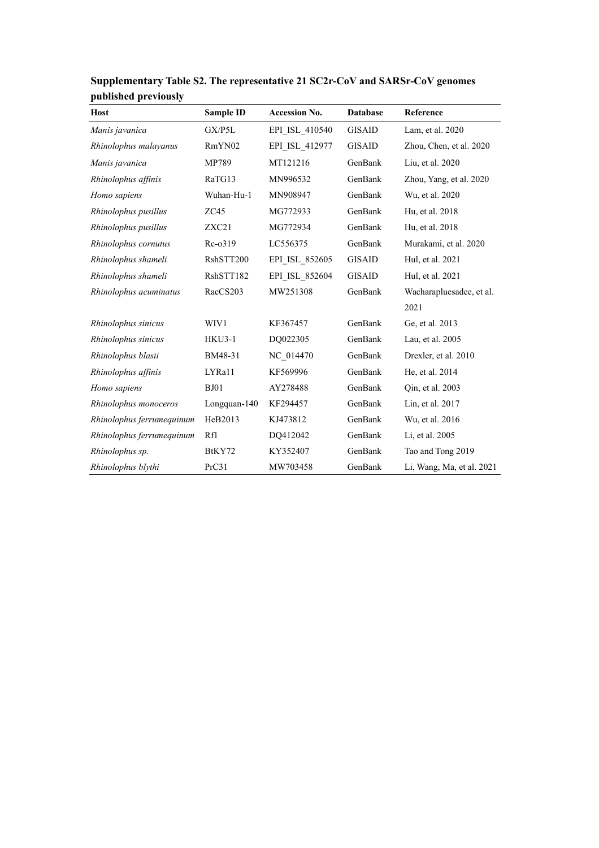| <b>Host</b>               | Sample ID     | <b>Accession No.</b> | <b>Database</b> | Reference                 |
|---------------------------|---------------|----------------------|-----------------|---------------------------|
| Manis javanica            | GX/P5L        | EPI_ISL_410540       | <b>GISAID</b>   | Lam, et al. 2020          |
| Rhinolophus malayanus     | RmYN02        | EPI ISL 412977       | <b>GISAID</b>   | Zhou, Chen, et al. 2020   |
| Manis javanica            | MP789         | MT121216             | GenBank         | Liu, et al. 2020          |
| Rhinolophus affinis       | RaTG13        | MN996532             | GenBank         | Zhou, Yang, et al. 2020   |
| Homo sapiens              | Wuhan-Hu-1    | MN908947             | GenBank         | Wu, et al. 2020           |
| Rhinolophus pusillus      | ZC45          | MG772933             | GenBank         | Hu, et al. 2018           |
| Rhinolophus pusillus      | ZXC21         | MG772934             | GenBank         | Hu, et al. 2018           |
| Rhinolophus cornutus      | $Rc-0319$     | LC556375             | GenBank         | Murakami, et al. 2020     |
| Rhinolophus shameli       | RshSTT200     | EPI ISL 852605       | <b>GISAID</b>   | Hul, et al. 2021          |
| Rhinolophus shameli       | RshSTT182     | EPI ISL 852604       | <b>GISAID</b>   | Hul, et al. 2021          |
| Rhinolophus acuminatus    | RacCS203      | MW251308             | GenBank         | Wacharapluesadee, et al.  |
|                           |               |                      |                 | 2021                      |
| Rhinolophus sinicus       | WIV1          | KF367457             | GenBank         | Ge, et al. 2013           |
| Rhinolophus sinicus       | <b>HKU3-1</b> | DQ022305             | GenBank         | Lau, et al. 2005          |
| Rhinolophus blasii        | BM48-31       | NC 014470            | GenBank         | Drexler, et al. 2010      |
| Rhinolophus affinis       | LYRa11        | KF569996             | GenBank         | He, et al. 2014           |
| Homo sapiens              | <b>BJ01</b>   | AY278488             | GenBank         | Qin, et al. 2003          |
| Rhinolophus monoceros     | Longquan-140  | KF294457             | GenBank         | Lin, et al. 2017          |
| Rhinolophus ferrumequinum | HeB2013       | KJ473812             | GenBank         | Wu, et al. 2016           |
| Rhinolophus ferrumequinum | Rf1           | DQ412042             | GenBank         | Li, et al. 2005           |
| Rhinolophus sp.           | BtKY72        | KY352407             | GenBank         | Tao and Tong 2019         |
| Rhinolophus blythi        | PrC31         | MW703458             | GenBank         | Li, Wang, Ma, et al. 2021 |

**Supplementary Table S2. The representative 21 SC2r-CoV and SARSr-CoV genomes published previously**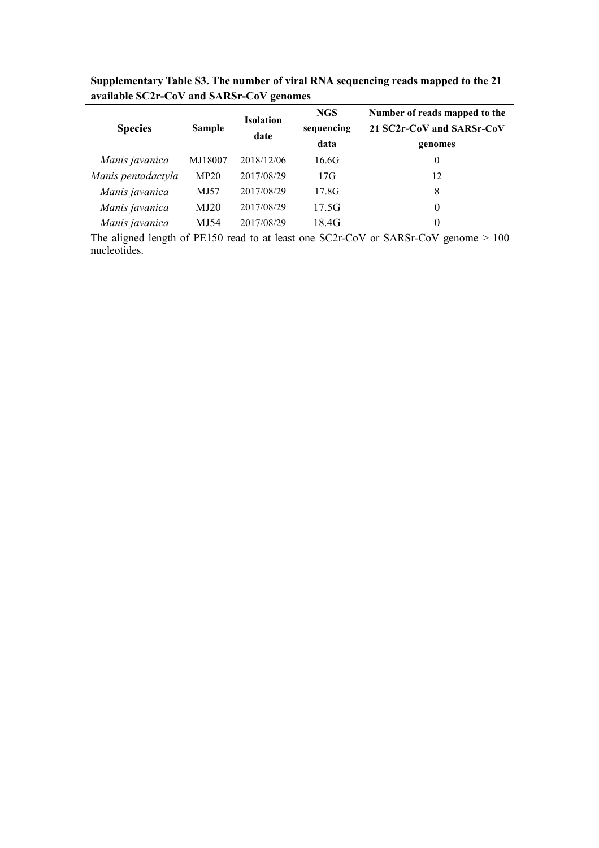|                    | <b>Sample</b> | <b>Isolation</b><br>date | <b>NGS</b> | Number of reads mapped to the<br>21 SC2r-CoV and SARSr-CoV |  |
|--------------------|---------------|--------------------------|------------|------------------------------------------------------------|--|
| <b>Species</b>     |               |                          | sequencing |                                                            |  |
|                    |               |                          | data       | genomes                                                    |  |
| Manis javanica     | MJ18007       | 2018/12/06               | 16.6G      | 0                                                          |  |
| Manis pentadactyla | MP20          | 2017/08/29               | 17G        | 12                                                         |  |
| Manis javanica     | MJ57          | 2017/08/29               | 17.8G      | 8                                                          |  |
| Manis javanica     | MJ20          | 2017/08/29               | 17.5G      | 0                                                          |  |
| Manis javanica     | MJ54          | 2017/08/29               | 18.4G      |                                                            |  |

**Supplementary Table S3. The number of viral RNA sequencing reads mapped tothe 21 available SC2r-CoV and SARSr-CoV genomes**

The aligned length of PE150 read to at least one SC2r-CoV or SARSr-CoV genome > 100 nucleotides.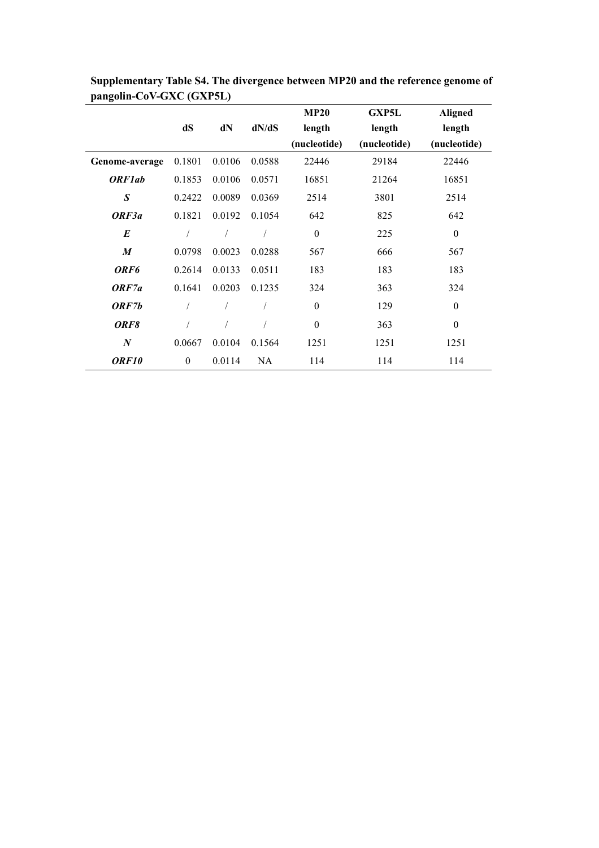|                  |                  |        |        | <b>MP20</b>      | <b>GXP5L</b> | <b>Aligned</b>   |
|------------------|------------------|--------|--------|------------------|--------------|------------------|
|                  | dS               | dN     | dN/dS  | length           | length       | length           |
|                  |                  |        |        | (nucleotide)     | (nucleotide) | (nucleotide)     |
| Genome-average   | 0.1801           | 0.0106 | 0.0588 | 22446            | 29184        | 22446            |
| <b>ORF1ab</b>    | 0.1853           | 0.0106 | 0.0571 | 16851            | 21264        | 16851            |
| $\boldsymbol{S}$ | 0.2422           | 0.0089 | 0.0369 | 2514             | 3801         | 2514             |
| ORF3a            | 0.1821           | 0.0192 | 0.1054 | 642              | 825          | 642              |
| $\boldsymbol{E}$ |                  |        |        | $\boldsymbol{0}$ | 225          | $\boldsymbol{0}$ |
| $\boldsymbol{M}$ | 0.0798           | 0.0023 | 0.0288 | 567              | 666          | 567              |
| ORF <sub>6</sub> | 0.2614           | 0.0133 | 0.0511 | 183              | 183          | 183              |
| ORF7a            | 0.1641           | 0.0203 | 0.1235 | 324              | 363          | 324              |
| ORF7b            |                  |        |        | $\boldsymbol{0}$ | 129          | $\boldsymbol{0}$ |
| ORF8             |                  |        |        | $\boldsymbol{0}$ | 363          | $\boldsymbol{0}$ |
| $\boldsymbol{N}$ | 0.0667           | 0.0104 | 0.1564 | 1251             | 1251         | 1251             |
| ORF10            | $\boldsymbol{0}$ | 0.0114 | NA     | 114              | 114          | 114              |

**Supplementary Table S4. The divergence between MP20 and the reference genome of pangolin-CoV-GXC (GXP5L)**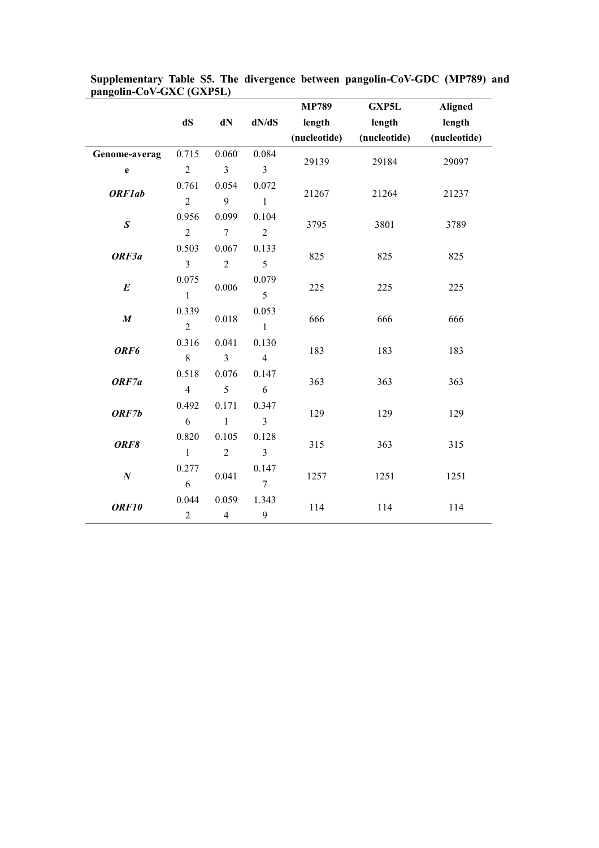|                  |                |                |                         | <b>MP789</b> | <b>GXP5L</b> | <b>Aligned</b> |  |
|------------------|----------------|----------------|-------------------------|--------------|--------------|----------------|--|
|                  | dS             | $dN$           | dN/dS                   | length       | length       | length         |  |
|                  |                |                |                         | (nucleotide) | (nucleotide) | (nucleotide)   |  |
| Genome-averag    | 0.715          | 0.060          | 0.084                   | 29139        | 29184        | 29097          |  |
| $\mathbf e$      | $\overline{2}$ | $\overline{3}$ | $\overline{3}$          |              |              |                |  |
| <b>ORF1ab</b>    | 0.761          | 0.054          | 0.072                   | 21267        | 21264        | 21237          |  |
|                  | $\overline{2}$ | 9              | $\mathbf{1}$            |              |              |                |  |
| $\pmb{S}$        | 0.956          | 0.099          | 0.104                   | 3795         | 3801         | 3789           |  |
|                  | $\overline{2}$ | $\overline{7}$ | $\overline{2}$          |              |              |                |  |
| ORF3a            | 0.503          | 0.067          | 0.133                   | 825          | 825          | 825            |  |
|                  | 3              | $\overline{2}$ | 5                       |              |              |                |  |
|                  | 0.075          |                | 0.079                   | 225          | 225          | 225            |  |
| $\pmb{E}$        | $\mathbf{1}$   | 0.006          | 5                       |              |              |                |  |
| $\pmb{M}$        | 0.339          | $0.018\,$      | 0.053                   | 666          | 666          | 666            |  |
|                  | $\overline{2}$ |                | $\mathbf{1}$            |              |              |                |  |
| ORF6             | 0.316          | 0.041          | 0.130                   | 183          | 183          | 183            |  |
|                  | $\,8\,$        | $\overline{3}$ | $\overline{4}$          |              |              |                |  |
| ORF7a            | 0.518          | 0.076          | 0.147                   | 363          | 363          | 363            |  |
|                  | $\overline{4}$ | 5              | 6                       |              |              |                |  |
| ORF7b            | 0.492          | 0.171          | 0.347                   | 129          | 129          | 129            |  |
|                  | $\sqrt{6}$     | $\mathbf{1}$   | $\overline{3}$          |              |              |                |  |
| ORF8             | 0.820          | 0.105          | 0.128                   | 315          | 363          | 315            |  |
|                  | $\mathbf{1}$   | $\sqrt{2}$     | $\overline{\mathbf{3}}$ |              |              |                |  |
| $\boldsymbol{N}$ | 0.277          | 0.041          | 0.147                   |              | 1251         | 1251           |  |
|                  | 6              |                | $\overline{7}$          | 1257         |              |                |  |
| ORF10            | 0.044          | 0.059          | 1.343                   | 114          | 114          | 114            |  |
|                  | $\overline{c}$ | $\overline{4}$ | 9                       |              |              |                |  |

**Supplementary Table S5. The divergence between pangolin-CoV-GDC (MP789) and pangolin-CoV-GXC (GXP5L)**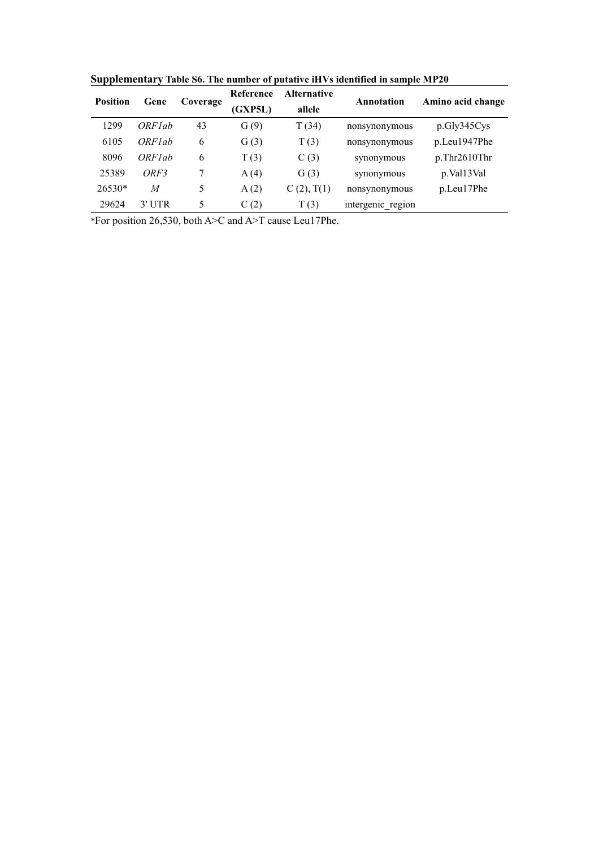| <b>Position</b><br>Gene |                         |         | Reference | <b>Alternative</b> | Annotation        | Amino acid change |
|-------------------------|-------------------------|---------|-----------|--------------------|-------------------|-------------------|
|                         | Coverage                | (GXP5L) | allele    |                    |                   |                   |
| 1299                    | $ORF$ <sub>l</sub> $ab$ | 43      | G(9)      | T(34)              | nonsynonymous     | p.Gly345Cys       |
| 6105                    | ORF <sub>lab</sub>      | 6       | G(3)      | T(3)               | nonsynonymous     | p.Leu1947Phe      |
| 8096                    | ORF <sub>lab</sub>      | 6       | T(3)      | C(3)               | synonymous        | p. Thr2610Thr     |
| 25389                   | ORF3                    | Ξ       | A(4)      | G(3)               | synonymous        | p.Val13Val        |
| $26530*$                | M                       | 5       | A(2)      | C(2), T(1)         | nonsynonymous     | p.Leu17Phe        |
| 29624                   | 3' UTR                  | 5       | C(2)      | T(3)               | intergenic region |                   |

**Supplementary Table S6. The number of putative iHVs identified in sample MP20**

\*For position 26,530, both A>C and A>T cause Leu17Phe.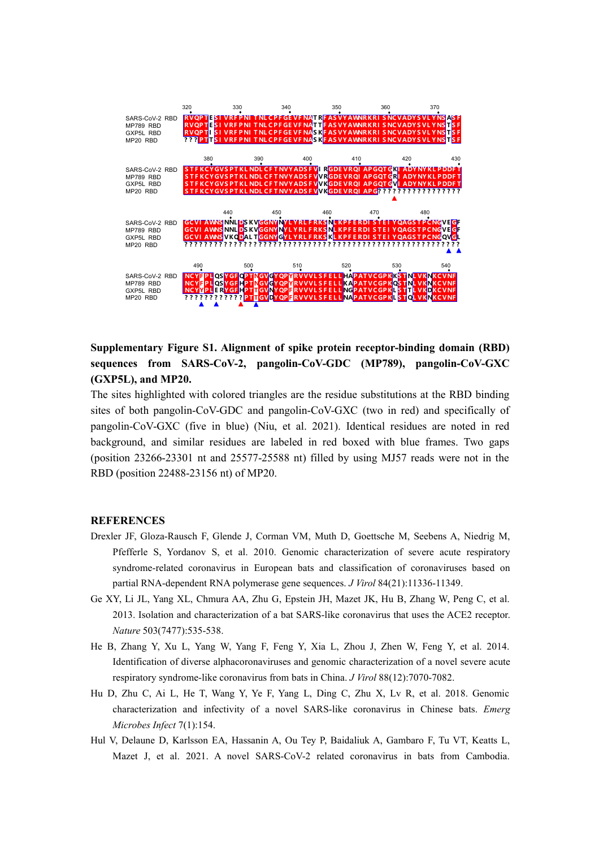

**Supplementary Figure S1. Alignment of spike protein receptor-binding domain (RBD) sequences from SARS-CoV-2, pangolin-CoV-GDC (MP789), pangolin-CoV-GXC (GXP5L), and MP20.**

The sites highlighted with colored triangles are the residue substitutions at the RBD binding sites of both pangolin-CoV-GDC and pangolin-CoV-GXC (two in red) and specifically of pangolin-CoV-GXC (five in blue) (Niu, et al. 2021). Identical residues are noted in red background, and similar residues are labeled in red boxed with blue frames. Two gaps (position 23266-23301 nt and 25577-25588 nt) filled by using MJ57 reads were not in the RBD (position 22488-23156 nt) of MP20.

## **REFERENCES**

- Drexler JF,Gloza-Rausch F, Glende J, Corman VM, Muth D, Goettsche M, Seebens A, Niedrig M, Pfefferle S, Yordanov S, et al. 2010. Genomic characterization of severe acute respiratory syndrome-related coronavirus in European bats and classification of coronaviruses based on partial RNA-dependent RNA polymerase gene sequences. *J Virol* 84(21):11336-11349.
- Ge XY, Li JL, Yang XL, Chmura AA, Zhu G, Epstein JH, Mazet JK, Hu B, Zhang W, Peng C, et al. 2013. Isolation and characterization of a bat SARS-like coronavirus that uses the ACE2 receptor. *Nature* 503(7477):535-538.
- He B, Zhang Y, Xu L, Yang W, Yang F, Feng Y, Xia L, Zhou J, Zhen W, Feng Y, et al. 2014. Identification of diverse alphacoronaviruses and genomic characterization of a novel severe acute respiratory syndrome-like coronavirus from bats in China. *J Virol* 88(12):7070-7082.
- Hu D, Zhu C, Ai L, He T, Wang Y, Ye F, Yang L, Ding C, Zhu X, Lv R, et al. 2018. Genomic characterization and infectivity of a novel SARS-like coronavirus in Chinese bats. *Emerg Microbes Infect* 7(1):154.
- Hul V, Delaune D, Karlsson EA, Hassanin A, Ou Tey P, Baidaliuk A, Gambaro F, Tu VT, Keatts L, Mazet J, et al. 2021. A novel SARS-CoV-2 related coronavirus in bats from Cambodia.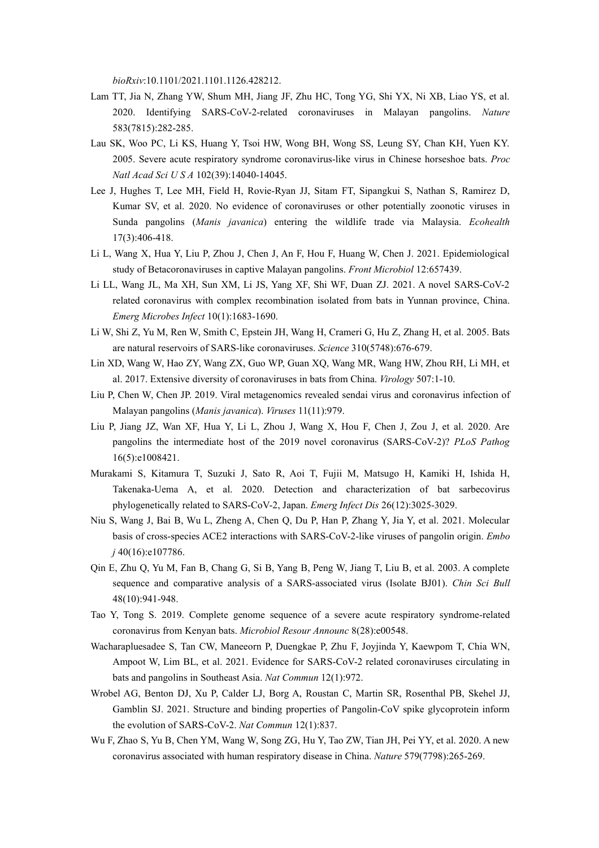*bioRxiv*:10.1101/2021.1101.1126.428212.

- Lam TT, Jia N, Zhang YW, Shum MH, Jiang JF, Zhu HC, Tong YG, Shi YX, Ni XB, Liao YS, et al. 2020. Identifying SARS-CoV-2-related coronaviruses in Malayan pangolins. *Nature* 583(7815):282-285.
- Lau SK, Woo PC, Li KS, Huang Y, Tsoi HW, Wong BH, Wong SS, Leung SY, Chan KH, Yuen KY. 2005. Severe acute respiratory syndrome coronavirus-like virus in Chinese horseshoe bats. *Proc Natl Acad Sci U S A* 102(39):14040-14045.
- Lee J, Hughes T, Lee MH, Field H, Rovie-Ryan JJ, Sitam FT, Sipangkui S, Nathan S, Ramirez D, Kumar SV, et al. 2020. No evidence of coronaviruses or other potentially zoonotic viruses in Sunda pangolins (*Manis javanica*) entering the wildlife trade via Malaysia. *Ecohealth* 17(3):406-418.
- Li L, Wang X, Hua Y, Liu P, Zhou J, Chen J, An F, Hou F, Huang W, Chen J. 2021. Epidemiological study of Betacoronaviruses in captive Malayan pangolins. *Front Microbiol* 12:657439.
- Li LL, Wang JL, Ma XH, Sun XM, Li JS, Yang XF, Shi WF, Duan ZJ. 2021. A novel SARS-CoV-2 related coronavirus with complex recombination isolated from bats in Yunnan province, China. *Emerg Microbes Infect* 10(1):1683-1690.
- Li W, Shi Z, Yu M, Ren W, Smith C, Epstein JH, Wang H, Crameri G, Hu Z, Zhang H, et al. 2005. Bats are natural reservoirs of SARS-like coronaviruses. *Science* 310(5748):676-679.
- Lin XD, Wang W, Hao ZY, Wang ZX, Guo WP, Guan XQ, Wang MR, Wang HW, Zhou RH, Li MH, et al. 2017. Extensive diversity of coronaviruses in bats from China. *Virology* 507:1-10.
- Liu P, Chen W, Chen JP. 2019. Viral metagenomics revealed sendai virus and coronavirus infection of Malayan pangolins (*Manis javanica*). *Viruses* 11(11):979.
- Liu P, Jiang JZ, Wan XF, Hua Y, Li L, Zhou J, Wang X, Hou F,Chen J,Zou J, et al. 2020. Are pangolins the intermediate host of the 2019 novel coronavirus (SARS-CoV-2)? *PLoS Pathog* 16(5):e1008421.
- Murakami S, Kitamura T, Suzuki J, Sato R, Aoi T,Fujii M, Matsugo H, Kamiki H, Ishida H, Takenaka-Uema A, et al. 2020. Detection and characterization of bat sarbecovirus phylogenetically related to SARS-CoV-2, Japan. *Emerg Infect Dis* 26(12):3025-3029.
- Niu S, Wang J, Bai B, Wu L, Zheng A, Chen Q, Du P, Han P, Zhang Y, Jia Y, et al. 2021. Molecular basis of cross-species ACE2 interactions with SARS-CoV-2-like viruses of pangolin origin. *Embo j* 40(16):e107786.
- Qin E, Zhu Q, Yu M, Fan B, Chang G, Si B, Yang B, Peng W, Jiang T, Liu B, et al. 2003. A complete sequence and comparative analysis of a SARS-associated virus (Isolate BJ01). *Chin Sci Bull* 48(10):941-948.
- Tao Y, Tong S. 2019. Complete genome sequence of a severe acute respiratory syndrome-related coronavirus from Kenyan bats. *Microbiol Resour Announc* 8(28):e00548.
- Wacharapluesadee S, Tan CW, Maneeorn P, Duengkae P, Zhu F, Joyjinda Y, Kaewpom T, Chia WN, Ampoot W, Lim BL, et al. 2021. Evidence for SARS-CoV-2 related coronaviruses circulating in bats and pangolins in Southeast Asia. *Nat Commun* 12(1):972.
- Wrobel AG, Benton DJ, Xu P, Calder LJ, Borg A, Roustan C, Martin SR, Rosenthal PB, Skehel JJ, Gamblin SJ. 2021. Structure and binding properties of Pangolin-CoV spike glycoprotein inform the evolution of SARS-CoV-2. *Nat Commun* 12(1):837.
- Wu F, Zhao S, Yu B, Chen YM, Wang W, Song ZG, Hu Y, Tao ZW,Tian JH, Pei YY, et al. 2020. A new coronavirus associated with human respiratory disease in China. *Nature* 579(7798):265-269.